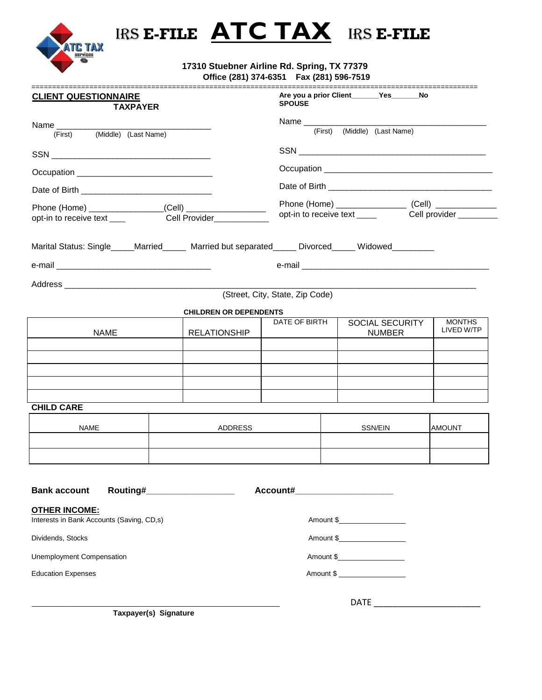

# IRS **E-FILE ATC TAX** IRS **E-FILE**

 **17310 Stuebner Airline Rd. Spring, TX 77379 Office (281) 374-6351 Fax (281) 596-7519**

| ==========================<br><b>CLIENT QUESTIONNAIRE</b><br><b>TAXPAYER</b>                       |                                 |                               | =============================<br>Are you a prior Client Yes No<br><b>SPOUSE</b> |                                  |                             |  |  |  |  |  |  |
|----------------------------------------------------------------------------------------------------|---------------------------------|-------------------------------|---------------------------------------------------------------------------------|----------------------------------|-----------------------------|--|--|--|--|--|--|
|                                                                                                    |                                 |                               |                                                                                 |                                  |                             |  |  |  |  |  |  |
| Name _________<br>(First) (Middle) (Last Name)                                                     |                                 |                               | (First) (Middle) (Last Name)                                                    |                                  |                             |  |  |  |  |  |  |
|                                                                                                    |                                 |                               |                                                                                 |                                  |                             |  |  |  |  |  |  |
|                                                                                                    |                                 |                               |                                                                                 |                                  |                             |  |  |  |  |  |  |
|                                                                                                    |                                 |                               |                                                                                 |                                  |                             |  |  |  |  |  |  |
|                                                                                                    |                                 |                               |                                                                                 |                                  |                             |  |  |  |  |  |  |
| Phone (Home) _____________________(Cell) ________________<br>Cell Provider______                   |                                 |                               |                                                                                 |                                  |                             |  |  |  |  |  |  |
| opt-in to receive text ____                                                                        |                                 |                               |                                                                                 |                                  |                             |  |  |  |  |  |  |
| Marital Status: Single_____Married______ Married but separated_____ Divorced_____ Widowed_________ |                                 |                               |                                                                                 |                                  |                             |  |  |  |  |  |  |
|                                                                                                    |                                 |                               |                                                                                 |                                  |                             |  |  |  |  |  |  |
|                                                                                                    |                                 |                               |                                                                                 |                                  |                             |  |  |  |  |  |  |
|                                                                                                    |                                 |                               | (Street, City, State, Zip Code)                                                 |                                  |                             |  |  |  |  |  |  |
|                                                                                                    |                                 | <b>CHILDREN OR DEPENDENTS</b> |                                                                                 |                                  |                             |  |  |  |  |  |  |
| <b>NAME</b>                                                                                        |                                 | <b>RELATIONSHIP</b>           | DATE OF BIRTH                                                                   | SOCIAL SECURITY<br><b>NUMBER</b> | <b>MONTHS</b><br>LIVED W/TP |  |  |  |  |  |  |
|                                                                                                    |                                 |                               |                                                                                 |                                  |                             |  |  |  |  |  |  |
|                                                                                                    |                                 |                               |                                                                                 |                                  |                             |  |  |  |  |  |  |
|                                                                                                    |                                 |                               |                                                                                 |                                  |                             |  |  |  |  |  |  |
|                                                                                                    |                                 |                               |                                                                                 |                                  |                             |  |  |  |  |  |  |
| <b>CHILD CARE</b>                                                                                  |                                 |                               |                                                                                 |                                  |                             |  |  |  |  |  |  |
| <b>NAME</b>                                                                                        |                                 | ADDRESS                       |                                                                                 | SSN/EIN                          | <b>AMOUNT</b>               |  |  |  |  |  |  |
|                                                                                                    |                                 |                               |                                                                                 |                                  |                             |  |  |  |  |  |  |
|                                                                                                    |                                 |                               |                                                                                 |                                  |                             |  |  |  |  |  |  |
|                                                                                                    |                                 |                               |                                                                                 |                                  |                             |  |  |  |  |  |  |
| <b>Bank account</b>                                                                                | Routing#_______________________ |                               |                                                                                 | Account#_______________________  |                             |  |  |  |  |  |  |
| <b>OTHER INCOME:</b>                                                                               |                                 |                               |                                                                                 |                                  |                             |  |  |  |  |  |  |
| Interests in Bank Accounts (Saving, CD,s)                                                          |                                 |                               |                                                                                 |                                  |                             |  |  |  |  |  |  |
| Dividends, Stocks                                                                                  |                                 |                               |                                                                                 | Amount \$_____________________   |                             |  |  |  |  |  |  |
| <b>Unemployment Compensation</b>                                                                   |                                 |                               |                                                                                 |                                  |                             |  |  |  |  |  |  |
| <b>Education Expenses</b>                                                                          |                                 |                               |                                                                                 | Amount \$                        |                             |  |  |  |  |  |  |
|                                                                                                    |                                 |                               |                                                                                 |                                  |                             |  |  |  |  |  |  |
|                                                                                                    |                                 |                               |                                                                                 | <b>DATE</b>                      |                             |  |  |  |  |  |  |

**Taxpayer(s) Signature**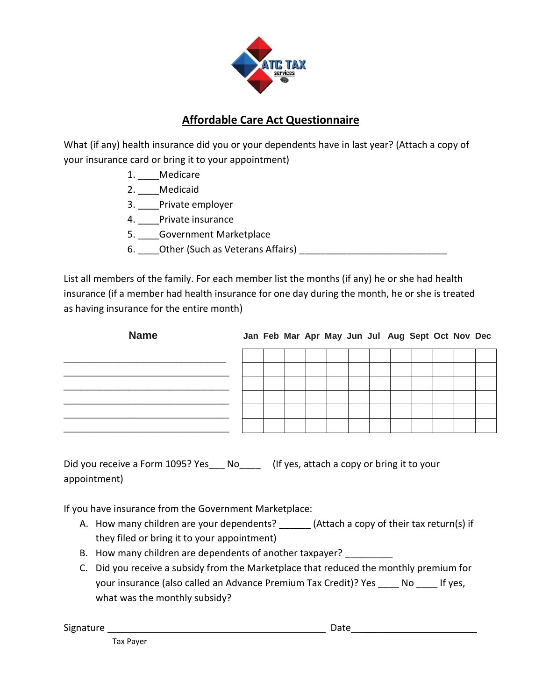

# **Affordable Care Act Questionnaire**

What (if any) health insurance did you or your dependents have in last year? (Attach a copy of your insurance card or bring it to your appointment)

- 1. \_\_\_\_Medicare
- 2. Medicaid
- 3. \_\_\_\_Private employer
- 4. \_\_\_\_Private insurance
- 5. Government Marketplace
- 6. Other (Such as Veterans Affairs) **Example 20**

List all members of the family. For each member list the months (if any) he or she had health insurance (if a member had health insurance for one day during the month, he or she is treated as having insurance for the entire month)

| <b>Name</b> |  |  |  |  | Jan Feb Mar Apr May Jun Jul Aug Sept Oct Nov Dec |  |  |
|-------------|--|--|--|--|--------------------------------------------------|--|--|
|             |  |  |  |  |                                                  |  |  |
|             |  |  |  |  |                                                  |  |  |
|             |  |  |  |  |                                                  |  |  |
|             |  |  |  |  |                                                  |  |  |
|             |  |  |  |  |                                                  |  |  |
|             |  |  |  |  |                                                  |  |  |

Did you receive a Form 1095? Yes No [If yes, attach a copy or bring it to your appointment)

If you have insurance from the Government Marketplace:

- A. How many children are your dependents? (Attach a copy of their tax return(s) if they filed or bring it to your appointment)
- B. How many children are dependents of another taxpayer?
- C. Did you receive a subsidy from the Marketplace that reduced the monthly premium for your insurance (also called an Advance Premium Tax Credit)? Yes \_\_\_\_ No \_\_\_\_ If yes, what was the monthly subsidy?

Signature Date \_\_\_\_\_\_\_\_\_\_\_\_\_\_\_\_\_\_\_\_\_\_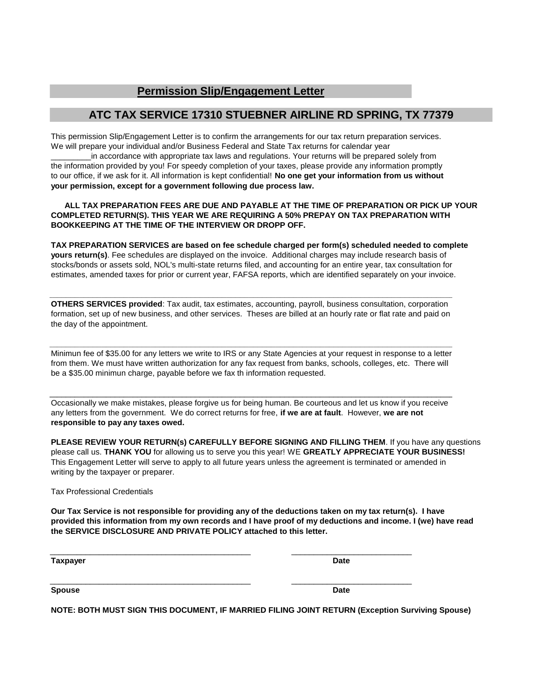# **Permission Slip/Engagement Letter**

# **ATC TAX SERVICE 17310 STUEBNER AIRLINE RD SPRING, TX 77379**

This permission Slip/Engagement Letter is to confirm the arrangements for our tax return preparation services. We will prepare your individual and/or Business Federal and State Tax returns for calendar year

\_\_\_\_\_\_\_\_\_in accordance with appropriate tax laws and regulations. Your returns will be prepared solely from the information provided by you! For speedy completion of your taxes, please provide any information promptly to our office, if we ask for it. All information is kept confidential! **No one get your information from us without your permission, except for a government following due process law.**

### **COMPLETED RETURN(S). THIS YEAR WE ARE REQUIRING A 50% PREPAY ON TAX PREPARATION WITH BOOKKEEPING AT THE TIME OF THE INTERVIEW OR DROPP OFF. ALL TAX PREPARATION FEES ARE DUE AND PAYABLE AT THE TIME OF PREPARATION OR PICK UP YOUR**

**TAX PREPARATION SERVICES are based on fee schedule charged per form(s) scheduled needed to complete yours return(s)**. Fee schedules are displayed on the invoice. Additional charges may include research basis of stocks/bonds or assets sold, NOL's multi-state returns filed, and accounting for an entire year, tax consultation for estimates, amended taxes for prior or current year, FAFSA reports, which are identified separately on your invoice.

the day of the appointment. **OTHERS SERVICES provided**: Tax audit, tax estimates, accounting, payroll, business consultation, corporation formation, set up of new business, and other services. Theses are billed at an hourly rate or flat rate and paid on

**\_\_\_\_\_\_\_\_\_\_\_\_\_\_\_\_\_\_\_\_\_\_\_\_\_\_\_\_\_\_\_\_\_\_\_\_\_\_\_\_\_\_\_\_\_\_\_\_\_\_\_\_\_\_\_\_\_\_\_\_\_\_\_\_\_\_\_\_\_\_\_\_\_\_\_\_\_\_\_\_\_\_\_\_\_\_\_\_\_\_\_**

be a \$35.00 minimun charge, payable before we fax th information requested. Minimun fee of \$35.00 for any letters we write to IRS or any State Agencies at your request in response to a letter from them. We must have written authorization for any fax request from banks, schools, colleges, etc. There will

**\_\_\_\_\_\_\_\_\_\_\_\_\_\_\_\_\_\_\_\_\_\_\_\_\_\_\_\_\_\_\_\_\_\_\_\_\_\_\_\_\_\_\_\_\_\_\_\_\_\_\_\_\_\_\_\_\_\_\_\_\_\_\_\_\_\_\_\_\_\_\_\_\_\_\_\_\_\_\_\_\_\_\_\_\_\_\_\_\_\_\_**

Occasionally we make mistakes, please forgive us for being human. Be courteous and let us know if you receive any letters from the government. We do correct returns for free, **if we are at fault**. However, **we are not responsible to pay any taxes owed.**

\_\_\_\_\_\_\_\_\_\_\_\_\_\_\_\_\_\_\_\_\_\_\_\_\_\_\_\_\_\_\_\_\_\_\_\_\_\_\_\_\_\_\_\_\_\_\_\_\_\_\_\_\_\_\_\_\_\_\_\_\_\_\_\_\_\_\_\_\_\_\_\_\_\_\_\_\_\_\_\_\_\_\_\_\_\_\_\_\_\_\_

**PLEASE REVIEW YOUR RETURN(s) CAREFULLY BEFORE SIGNING AND FILLING THEM**. If you have any questions please call us. **THANK YOU** for allowing us to serve you this year! WE **GREATLY APPRECIATE YOUR BUSINESS!** This Engagement Letter will serve to apply to all future years unless the agreement is terminated or amended in writing by the taxpayer or preparer.

Tax Professional Credentials

**the SERVICE DISCLOSURE AND PRIVATE POLICY attached to this letter. Our Tax Service is not responsible for providing any of the deductions taken on my tax return(s). I have provided this information from my own records and I have proof of my deductions and income. I (we) have read**

\_\_\_\_\_\_\_\_\_\_\_\_\_\_\_\_\_\_\_\_\_\_\_\_\_\_\_\_\_\_\_\_\_\_\_\_\_\_\_\_\_\_\_\_\_ \_\_\_\_\_\_\_\_\_\_\_\_\_\_\_\_\_\_\_\_\_\_\_\_\_\_\_

\_\_\_\_\_\_\_\_\_\_\_\_\_\_\_\_\_\_\_\_\_\_\_\_\_\_\_\_\_\_\_\_\_\_\_\_\_\_\_\_\_\_\_\_\_ \_\_\_\_\_\_\_\_\_\_\_\_\_\_\_\_\_\_\_\_\_\_\_\_\_\_\_

**Taxpayer Date**

**Spouse Date**

**NOTE: BOTH MUST SIGN THIS DOCUMENT, IF MARRIED FILING JOINT RETURN (Exception Surviving Spouse)**